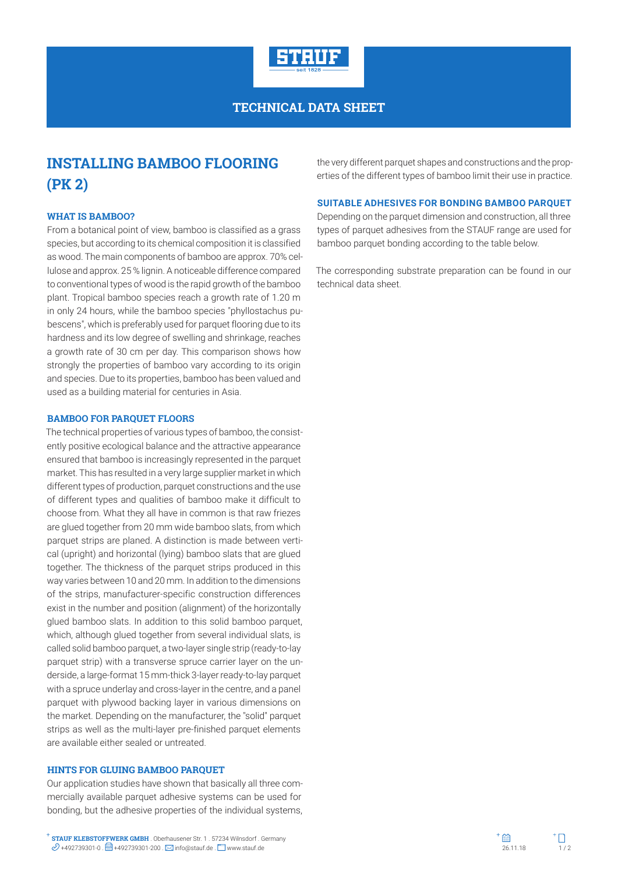

## **TECHNICAL DATA SHEET**

# **INSTALLING BAMBOO FLOORING (PK 2)**

### **WHAT IS BAMBOO?**

From a botanical point of view, bamboo is classified as a grass species, but according to its chemical composition it is classified as wood. The main components of bamboo are approx. 70% cellulose and approx. 25 % lignin. A noticeable difference compared to conventional types of wood is the rapid growth of the bamboo plant. Tropical bamboo species reach a growth rate of 1.20 m in only 24 hours, while the bamboo species "phyllostachus pubescens", which is preferably used for parquet flooring due to its hardness and its low degree of swelling and shrinkage, reaches a growth rate of 30 cm per day. This comparison shows how strongly the properties of bamboo vary according to its origin and species. Due to its properties, bamboo has been valued and used as a building material for centuries in Asia.

#### **BAMBOO FOR PARQUET FLOORS**

The technical properties of various types of bamboo, the consistently positive ecological balance and the attractive appearance ensured that bamboo is increasingly represented in the parquet market. This has resulted in a very large supplier market in which different types of production, parquet constructions and the use of different types and qualities of bamboo make it difficult to choose from. What they all have in common is that raw friezes are glued together from 20 mm wide bamboo slats, from which parquet strips are planed. A distinction is made between vertical (upright) and horizontal (lying) bamboo slats that are glued together. The thickness of the parquet strips produced in this way varies between 10 and 20 mm. In addition to the dimensions of the strips, manufacturer-specific construction differences exist in the number and position (alignment) of the horizontally glued bamboo slats. In addition to this solid bamboo parquet, which, although glued together from several individual slats, is called solid bamboo parquet, a two-layer single strip (ready-to-lay parquet strip) with a transverse spruce carrier layer on the underside, a large-format 15 mm-thick 3-layer ready-to-lay parquet with a spruce underlay and cross-layer in the centre, and a panel parquet with plywood backing layer in various dimensions on the market. Depending on the manufacturer, the "solid" parquet strips as well as the multi-layer pre-finished parquet elements are available either sealed or untreated.

#### **HINTS FOR GLUING BAMBOO PARQUET**

Our application studies have shown that basically all three commercially available parquet adhesive systems can be used for bonding, but the adhesive properties of the individual systems,

the very different parquet shapes and constructions and the properties of the different types of bamboo limit their use in practice.

#### **SUITABLE ADHESIVES FOR BONDING BAMBOO PARQUET**

Depending on the parquet dimension and construction, all three types of parquet adhesives from the STAUF range are used for bamboo parquet bonding according to the table below.

The corresponding substrate preparation can be found in our technical data sheet.